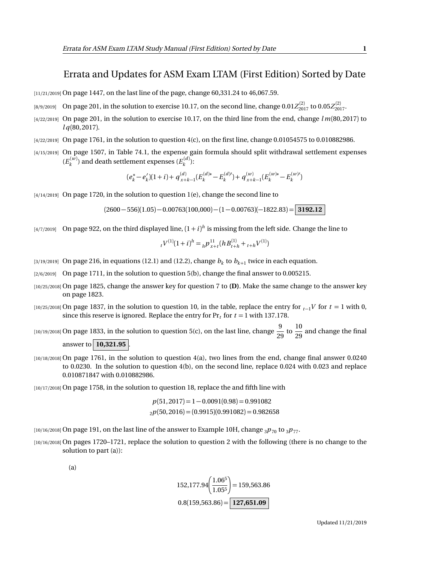## Errata and Updates for ASM Exam LTAM (First Edition) Sorted by Date

[11/21/2019] On page 1447, on the last line of the page, change 60,331.24 to 46,067.59.

- $_{[8/9/2019]}$  On page 201, in the solution to exercise 10.17, on the second line, change  $0.01 Z_{2017}^{(2)}$  to  $0.05 Z_{2017}^{(2)}$ .
- [4/22/2019] On page 201, in the solution to exercise 10.17, on the third line from the end, change *l m*(80, 2017) to *l q*(80, 2017).
- [4/22/2019] On page 1761, in the solution to question 4(c), on the first line, change 0.01054575 to 0.010882986.
- [4/15/2019] On page 1507, in Table 74.1, the expense gain formula should split withdrawal settlement expenses  $(E_k^{(w)})$  and death settlement expenses  $(E_k^{(d)})$ :

$$
(e_k^* - e_k')(1+i) + q_{x+k-1}^{(d)}(E_k^{(d)*} - E_k^{(d)'}) + q_{x+k-1}^{(w)}(E_k^{(w)*} - E_k^{(w)'})
$$

[4/14/2019] On page 1720, in the solution to question 1(e), change the second line to

 $(2600 - 556)(1.05) - 0.00763(100,000) - (1 - 0.00763)(-1822.83) =$  **3192.12** 

 $_{[4/7/2019]}$  On page 922, on the third displayed line,  $(1+i)^h$  is missing from the left side. Change the line to

$$
{}_{t}V^{(1)}(1+i)^{h} = {}_{h}P_{x+t}^{11}(hB_{t+h}^{(1)} + {}_{t+h}V^{(1)})
$$

- $_{[3/19/2019]}$  On page 216, in equations (12.1) and (12.2), change  $b_k$  to  $b_{k+1}$  twice in each equation.
- [2/6/2019] On page 1711, in the solution to question 5(b), change the final answer to 0.005215.
- [10/25/2018] On page 1825, change the answer key for question 7 to **(D)**. Make the same change to the answer key on page 1823.
- [10/25/2018] On page 1837, in the solution to question 10, in the table, replace the entry for  $t_1$ <sup>V</sup> for  $t = 1$  with 0, since this reserve is ignored. Replace the entry for  $Pr<sub>t</sub>$  for  $t = 1$  with 137.178.
- [10/19/2018] On page 1833, in the solution to question 5(c), on the last line, change  $\frac{9}{\gamma}$  $\frac{9}{29}$  to  $\frac{10}{29}$  $\frac{1}{29}$  and change the final answer to  $|10,321.95|$
- [10/18/2018] On page 1761, in the solution to question 4(a), two lines from the end, change final answer 0.0240 to 0.0230. In the solution to question 4(b), on the second line, replace 0.024 with 0.023 and replace 0.010871847 with 0.010882986.
- [10/17/2018] On page 1758, in the solution to question 18, replace the and fifth line with

$$
p(51,2017) = 1 - 0.0091(0.98) = 0.991082
$$
  

$$
2p(50,2016) = (0.9915)(0.991082) = 0.982658
$$

 $[10/16/2018]$  On page 191, on the last line of the answer to Example 10H, change  $_3p_{70}$  to  $_3p_{77}$ .

[10/16/2018] On pages 1720–1721, replace the solution to question 2 with the following (there is no change to the solution to part (a)):

(a)

$$
152,177.94 \left( \frac{1.06^5}{1.05^5} \right) = 159,563.86
$$

$$
0.8(159,563.86) = \boxed{127,651.09}
$$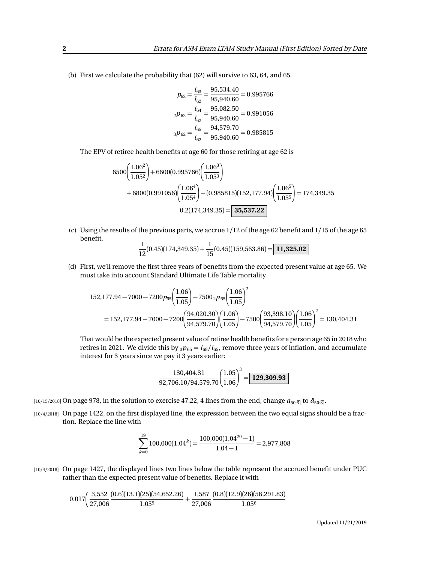(b) First we calculate the probability that (62) will survive to 63, 64, and 65.

$$
p_{62} = \frac{l_{63}}{l_{62}} = \frac{95,534.40}{95,940.60} = 0.995766
$$

$$
{}_{2}p_{62} = \frac{l_{64}}{l_{62}} = \frac{95,082.50}{95,940.60} = 0.991056
$$

$$
{}_{3}p_{62} = \frac{l_{65}}{l_{62}} = \frac{94,579.70}{95,940.60} = 0.985815
$$

The EPV of retiree health benefits at age 60 for those retiring at age 62 is

$$
6500\left(\frac{1.06^2}{1.05^2}\right) + 6600(0.995766)\left(\frac{1.06^3}{1.05^3}\right) + 6800(0.991056)\left(\frac{1.06^4}{1.05^4}\right) + (0.985815)(152,177.94)\left(\frac{1.06^5}{1.05^5}\right) = 174,349.35 0.2(174,349.35) = 35,537.22
$$

(c) Using the results of the previous parts, we accrue 1/12 of the age 62 benefit and 1/15 of the age 65 benefit.

$$
\frac{1}{12}(0.45)(174,349.35) + \frac{1}{15}(0.45)(159,563.86) = \boxed{11,325.02}
$$

(d) First, we'll remove the first three years of benefits from the expected present value at age 65. We must take into account Standard Ultimate Life Table mortality.

$$
152,177.94 - 7000 - 7200p_{65} \left(\frac{1.06}{1.05}\right) - 7500 \cdot 2p_{65} \left(\frac{1.06}{1.05}\right)^2
$$
  
= 152,177.94 - 7000 - 7200  $\left(\frac{94,020.30}{94,579.70}\right) \left(\frac{1.06}{1.05}\right) - 7500 \left(\frac{93,398.10}{94,579.70}\right) \left(\frac{1.06}{1.05}\right)^2 = 130,404.31$ 

That would be the expected present value of retiree health benefits for a person age 65 in 2018 who retires in 2021. We divide this by  $_3p_{65} = l_{68}/l_{65}$ , remove three years of inflation, and accumulate interest for 3 years since we pay it 3 years earlier:

$$
\frac{130,404.31}{92,706.10/94,579.70} \left(\frac{1.05}{1.06}\right)^3 = \boxed{129,309.93}
$$

 $[10/15/2018]$  On page 978, in the solution to exercise 47.22, 4 lines from the end, change  $a_{50:3}$  to  $a_{50:3}$ .

[10/4/2018] On page 1422, on the first displayed line, the expression between the two equal signs should be a fraction. Replace the line with

$$
\sum_{k=0}^{19} 100,000(1.04^k) = \frac{100,000(1.04^{20} - 1)}{1.04 - 1} = 2,977,808
$$

[10/4/2018] On page 1427, the displayed lines two lines below the table represent the accrued benefit under PUC rather than the expected present value of benefits. Replace it with

$$
0.017 \left(\frac{3,552}{27,006} \frac{(0.6)(13.1)(25)(54,652.26)}{1.05^5} + \frac{1,587}{27,006} \frac{(0.8)(12.9)(26)(56,291.83)}{1.05^6}\right.
$$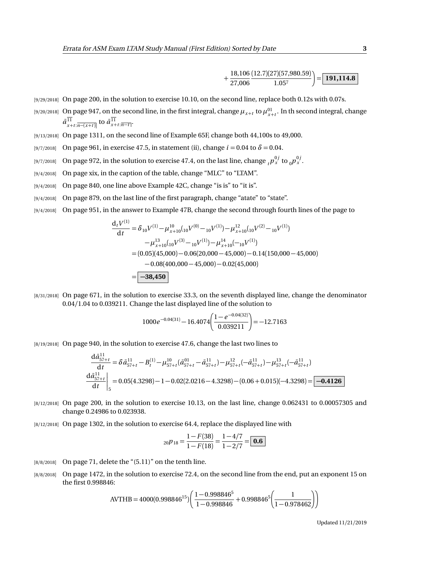$$
+\frac{18,106}{27,006}\frac{(12.7)(27)(57,980.59)}{1.057}\bigg) = \boxed{191,114.8}
$$

- [9/29/2018] On page 200, in the solution to exercise 10.10, on the second line, replace both 0.12s with 0.07s.
- $\frac{19}{20}$  (9/20/2018) On page 947, on the second line, in the first integral, change  $\mu_{x+t}$  to  $\mu_{x+t}^{01}$ . In th second integral, change  $\bar{a}^{11}_{x+t:\overline{n-(x+t)}}$  to  $\bar{a}^{11}_{x+t:\overline{n-t}}$ .
- [9/13/2018] On page 1311, on the second line of Example 65F, change both 44,100s to 49,000.
- [9/7/2018] On page 961, in exercise 47.5, in statement (ii), change  $i = 0.04$  to  $\delta = 0.04$ .
- [9/7/2018] On page 972, in the solution to exercise 47.4, on the last line, change  ${}_tp_x^{0j}$  to  ${}_0p_x^{0j}$ .
- [9/4/2018] On page xix, in the caption of the table, change "MLC" to "LTAM".
- [9/4/2018] On page 840, one line above Example 42C, change "is is" to "it is".
- [9/4/2018] On page 879, on the last line of the first paragraph, change "atate" to "state".
- [9/4/2018] On page 951, in the answer to Example 47B, change the second through fourth lines of the page to

$$
\frac{d_t V^{(1)}}{dt} = \delta_{10} V^{(1)} - \mu_{x+10}^{10} ({}_{10}V^{(0)} - {}_{10}V^{(1)}) - \mu_{x+10}^{12} ({}_{10}V^{(2)} - {}_{10}V^{(1)})
$$

$$
- \mu_{x+10}^{13} ({}_{10}V^{(3)} - {}_{10}V^{(1)}) - \mu_{x+10}^{14} (-{}_{10}V^{(1)})
$$

$$
= (0.05)(45,000) - 0.06(20,000 - 45,000) - 0.14(150,000 - 45,000)
$$

$$
- 0.08(400,000 - 45,000) - 0.02(45,000)
$$

$$
= \boxed{-38,450}
$$

[8/31/2018] On page 671, in the solution to exercise 33.3, on the seventh displayed line, change the denominator 0.04*/*1.04 to 0.039211. Change the last displayed line of the solution to

$$
1000e^{-0.04(31)} - 16.4074 \left( \frac{1 - e^{-0.04(32)}}{0.039211} \right) = -12.7163
$$

[8/19/2018] On page 940, in the solution to exercise 47.6, change the last two lines to

$$
\frac{d\bar{a}_{57+t}^{11}}{dt} = \delta \bar{a}_{57+t}^{11} - B_t^{(1)} - \mu_{57+t}^{10} (\bar{a}_{57+t}^{01} - \bar{a}_{57+t}^{11}) - \mu_{57+t}^{12} (-\bar{a}_{57+t}^{11}) - \mu_{57+t}^{13} (-\bar{a}_{57+t}^{11})
$$
  
\n
$$
\frac{d\bar{a}_{57+t}^{11}}{dt} \bigg|_{5} = 0.05(4.3298) - 1 - 0.02(2.0216 - 4.3298) - (0.06 + 0.015)(-4.3298) = \boxed{-0.4126}
$$

- [8/12/2018] On page 200, in the solution to exercise 10.13, on the last line, change 0.062431 to 0.00057305 and change 0.24986 to 0.023938.
- [8/12/2018] On page 1302, in the solution to exercise 64.4, replace the displayed line with

$$
{}_{20}p_{18} = \frac{1 - F(38)}{1 - F(18)} = \frac{1 - 4/7}{1 - 2/7} = \boxed{\textbf{0.6}}
$$

- $[8/8/2018]$  On page 71, delete the " $(5.11)$ " on the tenth line.
- [8/8/2018] On page 1472, in the solution to exercise 72.4, on the second line from the end, put an exponent 15 on the first 0.998846:

$$
AVTHB = 4000(0.998846^{15}) \left( \frac{1 - 0.998846^5}{1 - 0.998846} + 0.998846^5 \left( \frac{1}{1 - 0.978462} \right) \right)
$$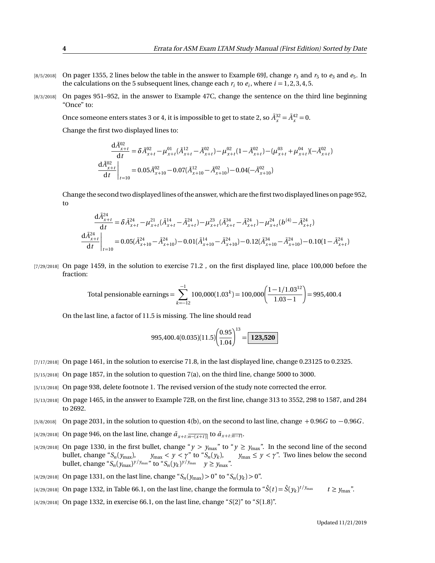- $_{[8/5/2018]}$  On pager 1355, 2 lines below the table in the answer to Example 69J, change  $r_3$  and  $r_5$  to  $e_3$  and  $e_5$ . In the calculations on the 5 subsequent lines, change each  $r_i$  to  $e_i$ , where  $i = 1, 2, 3, 4, 5$ .
- [8/3/2018] On pages 951–952, in the answer to Example 47C, change the sentence on the third line beginning "Once" to:

Once someone enters states 3 or 4, it is impossible to get to state 2, so  $\bar{A}_x^{32} = \bar{A}_x^{42} = 0$ .

Change the first two displayed lines to:  $\overline{a}$ 

$$
\frac{dA_{x+t}^{02}}{dt} = \delta \bar{A}_{x+t}^{02} - \mu_{x+t}^{01} (\bar{A}_{x+t}^{12} - \bar{A}_{x+t}^{02}) - \mu_{x+t}^{02} (1 - \bar{A}_{x+t}^{02}) - (\mu_{x+t}^{03} + \mu_{x+t}^{04}) (-\bar{A}_{x+t}^{02})
$$
\n
$$
\frac{d\bar{A}_{x+t}^{02}}{dt}\bigg|_{t=10} = 0.05 \bar{A}_{x+10}^{02} - 0.07 (\bar{A}_{x+10}^{12} - \bar{A}_{x+10}^{02}) - 0.04 (-\bar{A}_{x+10}^{02})
$$

Change the second two displayed lines of the answer, which are the first two displayed lines on page 952, to

$$
\frac{d\bar{A}_{x+t}^{24}}{dt} = \delta \bar{A}_{x+t}^{24} - \mu_{x+t}^{21} (\bar{A}_{x+t}^{14} - \bar{A}_{x+t}^{24}) - \mu_{x+t}^{23} (\bar{A}_{x+t}^{34} - \bar{A}_{x+t}^{24}) - \mu_{x+t}^{24} (b^{(4)} - \bar{A}_{x+t}^{24})
$$
\n
$$
\frac{d\bar{A}_{x+t}^{24}}{dt} \bigg|_{t=10} = 0.05(\bar{A}_{x+10}^{24} - \bar{A}_{x+10}^{24}) - 0.01(\bar{A}_{x+10}^{14} - \bar{A}_{x+10}^{24}) - 0.12(\bar{A}_{x+10}^{34} - \bar{A}_{x+10}^{24}) - 0.10(1 - \bar{A}_{x+t}^{24})
$$

[7/29/2018] On page 1459, in the solution to exercise 71.2, on the first displayed line, place 100,000 before the fraction:

Total pensionable earnings = 
$$
\sum_{k=-12}^{-1} 100,000(1.03^{k}) = 100,000 \left( \frac{1 - 1/1.03^{12}}{1.03 - 1} \right) = 995,400.4
$$

On the last line, a factor of 11.5 is missing. The line should read

$$
995,400.4(0.035)(11.5)\left(\frac{0.95}{1.04}\right)^{13} = \boxed{123,520}
$$

- [7/17/2018] On page 1461, in the solution to exercise 71.8, in the last displayed line, change 0.23125 to 0.2325.
- [5/15/2018] On page 1857, in the solution to question 7(a), on the third line, change 5000 to 3000.
- [5/13/2018] On page 938, delete footnote 1. The revised version of the study note corrected the error.
- [5/13/2018] On page 1465, in the answer to Example 72B, on the first line, change 313 to 3552, 298 to 1587, and 284 to 2692.
- [5/8/2018] On page 2031, in the solution to question 4(b), on the second to last line, change + 0.96*G* to − 0.96*G* .
- $[a/29/2018]$  On page 946, on the last line, change  $\bar{a}_{x+t:\overline{n-(x+t)}}$  to  $\bar{a}_{x+t:\overline{n-t}}$ .
- $[4/29/2018]$  On page 1330, in the first bullet, change " $y > y_{max}$ " to " $y \ge y_{max}$ ". In the second line of the second bullet, change " $S_n(y_{max})$ ,  $y_{max} < y < \gamma$ " to " $S_n(y_k)$ ,  $y_{max} \le y < \gamma$ ". Two lines below the second bullet, change " $S_n(y_{\text{max}})^{y/y_{\text{max}}}$ " to " $S_n(y_k)^{y/y_{\text{max}}}$ "  $y \ge y_{\text{max}}$ ".
- $\frac{14}{29}{2018}$  On page 1331, on the last line, change " $S_n(y_{\text{max}}) > 0$ " to " $S_n(y_k) > 0$ ".
- [4/29/2018] On page 1332, in Table 66.1, on the last line, change the formula to " $\hat{S}(t) = \hat{S}(y_k)^{t/y_{\max}}$   $t \ge y_{\max}$ ".
- [4/29/2018] On page 1332, in exercise 66.1, on the last line, change "*S*(2)" to "*S*(1.8)".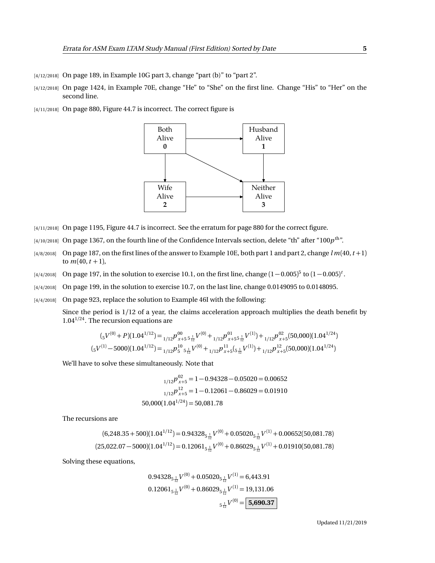- [4/12/2018] On page 189, in Example 10G part 3, change "part (b)" to "part 2".
- [4/12/2018] On page 1424, in Example 70E, change "He" to "She" on the first line. Change "His" to "Her" on the second line.
- [4/11/2018] On page 880, Figure 44.7 is incorrect. The correct figure is



- [4/11/2018] On page 1195, Figure 44.7 is incorrect. See the erratum for page 880 for the correct figure.
- $_{[4/10/2018]}$  On page 1367, on the fourth line of the Confidence Intervals section, delete "th" after "100 $p^{\rm th}$ ".
- $[4/8/2018]$  On page 187, on the first lines of the answer to Example 10E, both part 1 and part 2, change  $l m(40, t+1)$ to  $m(40, t + 1)$ ,
- $_{[4/4/2018]}$  On page 197, in the solution to exercise 10.1, on the first line, change  $(1-0.005)^5$  to  $(1-0.005)^t$ .
- [4/4/2018] On page 199, in the solution to exercise 10.7, on the last line, change 0.0149095 to 0.0148095.
- [4/4/2018] On page 923, replace the solution to Example 46I with the following:

Since the period is 1/12 of a year, the claims acceleration approach multiplies the death benefit by 1.04<sup>1</sup>*/*<sup>24</sup>. The recursion equations are

$$
(_{5}V^{(0)} + P)(1.04^{1/12}) =_{1/12} p_{x+5}^{00} \, 5\frac{1}{12} V^{(0)} +_{1/12} p_{x+5}^{01} \, 5\frac{1}{12} V^{(1)}) +_{1/12} p_{x+5}^{02} (50,000)(1.04^{1/24})
$$
  

$$
(_{5}V^{(1)} - 5000)(1.04^{1/12}) =_{1/12} p_{5}^{10} \, 5\frac{1}{12} V^{(0)} +_{1/12} p_{x+5}^{11} (5\frac{1}{12} V^{(1)}) +_{1/12} p_{x+5}^{12} (50,000)(1.04^{1/24})
$$

We'll have to solve these simultaneously. Note that

$$
{}_{1/12}p_{x+5}^{02} = 1 - 0.94328 - 0.05020 = 0.00652
$$

$$
{}_{1/12}p_{x+5}^{12} = 1 - 0.12061 - 0.86029 = 0.01910
$$

$$
50,000(1.04^{1/24}) = 50,081.78
$$

The recursions are

$$
(6,248.35+500)(1.04^{1/12}) = 0.94328_{5\frac{1}{12}}V^{(0)} + 0.05020_{5\frac{1}{12}}V^{(1)} + 0.00652(50,081.78)
$$
  

$$
(25,022.07-5000)(1.04^{1/12}) = 0.12061_{5\frac{1}{12}}V^{(0)} + 0.86029_{5\frac{1}{12}}V^{(1)} + 0.01910(50,081.78)
$$

Solving these equations,

$$
0.94328_{5\frac{1}{12}}V^{(0)} + 0.05020_{5\frac{1}{12}}V^{(1)} = 6,443.91
$$

$$
0.12061_{5\frac{1}{12}}V^{(0)} + 0.86029_{5\frac{1}{12}}V^{(1)} = 19,131.06
$$

$$
5\frac{1}{12}V^{(0)} = 5,690.37
$$